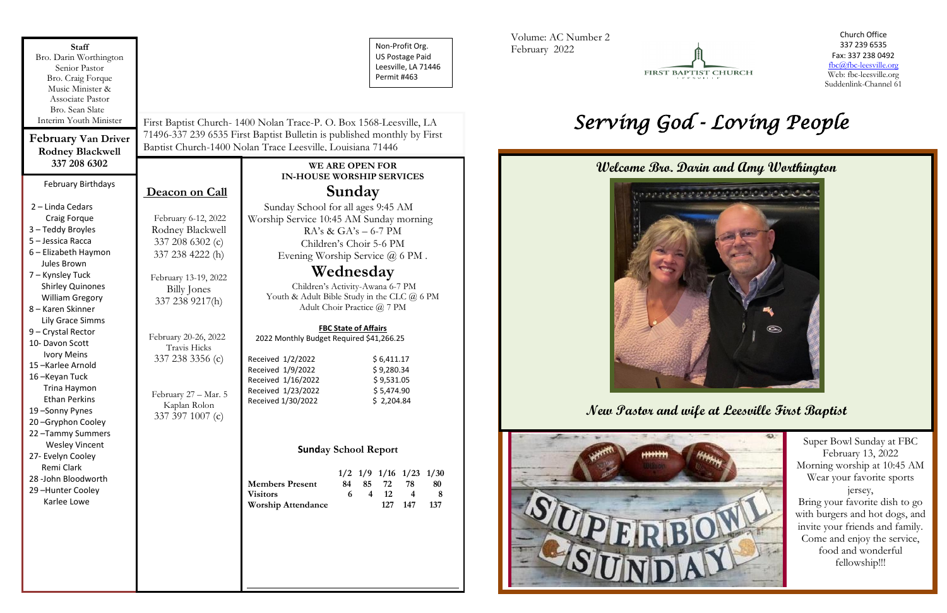# **Wednesday**

#### **FBC State of Affairs**

### **Sunday School Report**

|                           |     |          | $1/2$ $1/9$ $1/16$ $1/23$ $1/30$ |    |
|---------------------------|-----|----------|----------------------------------|----|
| <b>Members Present</b>    | 84. | 85 72 78 |                                  | 80 |
| <b>Visitors</b>           |     | 4 12     |                                  |    |
| <b>Worship Attendance</b> |     |          | 127 147 137                      |    |

| Associate Pastor<br>Bro. Sean Slate<br>Interim Youth Minister<br>First Baptist Church- 1400 Nolan Trace-P. O. Box 1568-Leesville, LA<br>71496-337 239 6535 First Baptist Bulletin is published monthly by First<br><b>February Van Driver</b><br>Baptist Church-1400 Nolan Trace Leesville, Louisiana 71446<br><b>Rodney Blackwell</b><br>337 208 6302<br>WE ARE OPEN FOR<br><b>IN-HOUSE WORSHIP SERVICES</b><br><b>February Birthdays</b><br>Sunday<br>Deacon on Call<br>2 - Linda Cedars<br>Sunday School for all ages 9:45 AM<br>Craig Forque<br>February 6-12, 2022<br>Worship Service 10:45 AM Sunday morning<br>3 - Teddy Broyles<br>Rodney Blackwell<br>$RA's \& GA's - 6-7 PM$<br>5 - Jessica Racca<br>337 208 6302 (c)<br>Children's Choir 5-6 PM<br>6 - Elizabeth Haymon<br>337 238 4222 (h)<br>Evening Worship Service @ 6 PM.<br>Jules Brown<br>Wednesday<br>7 - Kynsley Tuck<br>February 13-19, 2022<br>Children's Activity-Awana 6-7 PM<br><b>Shirley Quinones</b><br><b>Billy Jones</b><br>Youth & Adult Bible Study in the CLC @ 6 PM<br><b>William Gregory</b><br>337 238 9217(h)<br>Adult Choir Practice @ 7 PM<br>8 - Karen Skinner<br>Lily Grace Simms<br><b>FBC State of Affairs</b><br>9 - Crystal Rector<br>February 20-26, 2022<br>2022 Monthly Budget Required \$41,266.25<br>10- Davon Scott<br>Travis Hicks<br><b>Ivory Meins</b><br>337 238 3356 (c)<br>Received 1/2/2022<br>\$6,411.17<br>15-Karlee Arnold<br>Received 1/9/2022<br>\$9,280.34<br>16-Keyan Tuck<br>Received 1/16/2022<br>\$9,531.05<br>Trina Haymon<br>Received 1/23/2022<br>\$5,474.90<br>February 27 - Mar. 5<br><b>Ethan Perkins</b><br>Received 1/30/2022<br>\$2,204.84<br>Kaplan Rolon<br>19-Sonny Pynes<br>337 397 1007 (c)<br>20-Gryphon Cooley<br>22-Tammy Summers<br><b>Wesley Vincent</b><br><b>Sunday School Report</b><br>27- Evelyn Cooley<br>Remi Clark<br>$1/2$ $1/9$ $1/16$ $1/23$<br>28 -John Bloodworth<br><b>Members Present</b><br>84<br>85<br>72<br>78<br>29-Hunter Cooley<br>$\overline{4}$<br>12<br><b>Visitors</b><br>8<br>$\overline{\mathbf{4}}$<br>6<br>Karlee Lowe<br><b>Worship Attendance</b><br>127<br>147<br>137 | <b>Staff</b><br>Bro. Darin Worthington<br>Senior Pastor<br>Bro. Craig Forque | Non-Profit Org.<br><b>US Postage Paid</b><br>Leesville, LA 71446<br>Permit #463 |
|----------------------------------------------------------------------------------------------------------------------------------------------------------------------------------------------------------------------------------------------------------------------------------------------------------------------------------------------------------------------------------------------------------------------------------------------------------------------------------------------------------------------------------------------------------------------------------------------------------------------------------------------------------------------------------------------------------------------------------------------------------------------------------------------------------------------------------------------------------------------------------------------------------------------------------------------------------------------------------------------------------------------------------------------------------------------------------------------------------------------------------------------------------------------------------------------------------------------------------------------------------------------------------------------------------------------------------------------------------------------------------------------------------------------------------------------------------------------------------------------------------------------------------------------------------------------------------------------------------------------------------------------------------------------------------------------------------------------------------------------------------------------------------------------------------------------------------------------------------------------------------------------------------------------------------------------------------------------------------------------------------------------------------------------------------------------------------------------------------------------------------------------|------------------------------------------------------------------------------|---------------------------------------------------------------------------------|
|                                                                                                                                                                                                                                                                                                                                                                                                                                                                                                                                                                                                                                                                                                                                                                                                                                                                                                                                                                                                                                                                                                                                                                                                                                                                                                                                                                                                                                                                                                                                                                                                                                                                                                                                                                                                                                                                                                                                                                                                                                                                                                                                              | Music Minister &                                                             |                                                                                 |
|                                                                                                                                                                                                                                                                                                                                                                                                                                                                                                                                                                                                                                                                                                                                                                                                                                                                                                                                                                                                                                                                                                                                                                                                                                                                                                                                                                                                                                                                                                                                                                                                                                                                                                                                                                                                                                                                                                                                                                                                                                                                                                                                              |                                                                              |                                                                                 |
|                                                                                                                                                                                                                                                                                                                                                                                                                                                                                                                                                                                                                                                                                                                                                                                                                                                                                                                                                                                                                                                                                                                                                                                                                                                                                                                                                                                                                                                                                                                                                                                                                                                                                                                                                                                                                                                                                                                                                                                                                                                                                                                                              |                                                                              |                                                                                 |
|                                                                                                                                                                                                                                                                                                                                                                                                                                                                                                                                                                                                                                                                                                                                                                                                                                                                                                                                                                                                                                                                                                                                                                                                                                                                                                                                                                                                                                                                                                                                                                                                                                                                                                                                                                                                                                                                                                                                                                                                                                                                                                                                              |                                                                              |                                                                                 |
|                                                                                                                                                                                                                                                                                                                                                                                                                                                                                                                                                                                                                                                                                                                                                                                                                                                                                                                                                                                                                                                                                                                                                                                                                                                                                                                                                                                                                                                                                                                                                                                                                                                                                                                                                                                                                                                                                                                                                                                                                                                                                                                                              |                                                                              |                                                                                 |
|                                                                                                                                                                                                                                                                                                                                                                                                                                                                                                                                                                                                                                                                                                                                                                                                                                                                                                                                                                                                                                                                                                                                                                                                                                                                                                                                                                                                                                                                                                                                                                                                                                                                                                                                                                                                                                                                                                                                                                                                                                                                                                                                              |                                                                              |                                                                                 |
|                                                                                                                                                                                                                                                                                                                                                                                                                                                                                                                                                                                                                                                                                                                                                                                                                                                                                                                                                                                                                                                                                                                                                                                                                                                                                                                                                                                                                                                                                                                                                                                                                                                                                                                                                                                                                                                                                                                                                                                                                                                                                                                                              |                                                                              |                                                                                 |
|                                                                                                                                                                                                                                                                                                                                                                                                                                                                                                                                                                                                                                                                                                                                                                                                                                                                                                                                                                                                                                                                                                                                                                                                                                                                                                                                                                                                                                                                                                                                                                                                                                                                                                                                                                                                                                                                                                                                                                                                                                                                                                                                              |                                                                              |                                                                                 |
|                                                                                                                                                                                                                                                                                                                                                                                                                                                                                                                                                                                                                                                                                                                                                                                                                                                                                                                                                                                                                                                                                                                                                                                                                                                                                                                                                                                                                                                                                                                                                                                                                                                                                                                                                                                                                                                                                                                                                                                                                                                                                                                                              |                                                                              |                                                                                 |
|                                                                                                                                                                                                                                                                                                                                                                                                                                                                                                                                                                                                                                                                                                                                                                                                                                                                                                                                                                                                                                                                                                                                                                                                                                                                                                                                                                                                                                                                                                                                                                                                                                                                                                                                                                                                                                                                                                                                                                                                                                                                                                                                              |                                                                              |                                                                                 |
|                                                                                                                                                                                                                                                                                                                                                                                                                                                                                                                                                                                                                                                                                                                                                                                                                                                                                                                                                                                                                                                                                                                                                                                                                                                                                                                                                                                                                                                                                                                                                                                                                                                                                                                                                                                                                                                                                                                                                                                                                                                                                                                                              |                                                                              |                                                                                 |
|                                                                                                                                                                                                                                                                                                                                                                                                                                                                                                                                                                                                                                                                                                                                                                                                                                                                                                                                                                                                                                                                                                                                                                                                                                                                                                                                                                                                                                                                                                                                                                                                                                                                                                                                                                                                                                                                                                                                                                                                                                                                                                                                              |                                                                              |                                                                                 |
|                                                                                                                                                                                                                                                                                                                                                                                                                                                                                                                                                                                                                                                                                                                                                                                                                                                                                                                                                                                                                                                                                                                                                                                                                                                                                                                                                                                                                                                                                                                                                                                                                                                                                                                                                                                                                                                                                                                                                                                                                                                                                                                                              |                                                                              |                                                                                 |
|                                                                                                                                                                                                                                                                                                                                                                                                                                                                                                                                                                                                                                                                                                                                                                                                                                                                                                                                                                                                                                                                                                                                                                                                                                                                                                                                                                                                                                                                                                                                                                                                                                                                                                                                                                                                                                                                                                                                                                                                                                                                                                                                              |                                                                              |                                                                                 |
|                                                                                                                                                                                                                                                                                                                                                                                                                                                                                                                                                                                                                                                                                                                                                                                                                                                                                                                                                                                                                                                                                                                                                                                                                                                                                                                                                                                                                                                                                                                                                                                                                                                                                                                                                                                                                                                                                                                                                                                                                                                                                                                                              |                                                                              |                                                                                 |
|                                                                                                                                                                                                                                                                                                                                                                                                                                                                                                                                                                                                                                                                                                                                                                                                                                                                                                                                                                                                                                                                                                                                                                                                                                                                                                                                                                                                                                                                                                                                                                                                                                                                                                                                                                                                                                                                                                                                                                                                                                                                                                                                              |                                                                              |                                                                                 |
|                                                                                                                                                                                                                                                                                                                                                                                                                                                                                                                                                                                                                                                                                                                                                                                                                                                                                                                                                                                                                                                                                                                                                                                                                                                                                                                                                                                                                                                                                                                                                                                                                                                                                                                                                                                                                                                                                                                                                                                                                                                                                                                                              |                                                                              |                                                                                 |
|                                                                                                                                                                                                                                                                                                                                                                                                                                                                                                                                                                                                                                                                                                                                                                                                                                                                                                                                                                                                                                                                                                                                                                                                                                                                                                                                                                                                                                                                                                                                                                                                                                                                                                                                                                                                                                                                                                                                                                                                                                                                                                                                              |                                                                              |                                                                                 |
|                                                                                                                                                                                                                                                                                                                                                                                                                                                                                                                                                                                                                                                                                                                                                                                                                                                                                                                                                                                                                                                                                                                                                                                                                                                                                                                                                                                                                                                                                                                                                                                                                                                                                                                                                                                                                                                                                                                                                                                                                                                                                                                                              |                                                                              |                                                                                 |
|                                                                                                                                                                                                                                                                                                                                                                                                                                                                                                                                                                                                                                                                                                                                                                                                                                                                                                                                                                                                                                                                                                                                                                                                                                                                                                                                                                                                                                                                                                                                                                                                                                                                                                                                                                                                                                                                                                                                                                                                                                                                                                                                              |                                                                              |                                                                                 |
|                                                                                                                                                                                                                                                                                                                                                                                                                                                                                                                                                                                                                                                                                                                                                                                                                                                                                                                                                                                                                                                                                                                                                                                                                                                                                                                                                                                                                                                                                                                                                                                                                                                                                                                                                                                                                                                                                                                                                                                                                                                                                                                                              |                                                                              |                                                                                 |
|                                                                                                                                                                                                                                                                                                                                                                                                                                                                                                                                                                                                                                                                                                                                                                                                                                                                                                                                                                                                                                                                                                                                                                                                                                                                                                                                                                                                                                                                                                                                                                                                                                                                                                                                                                                                                                                                                                                                                                                                                                                                                                                                              |                                                                              |                                                                                 |
|                                                                                                                                                                                                                                                                                                                                                                                                                                                                                                                                                                                                                                                                                                                                                                                                                                                                                                                                                                                                                                                                                                                                                                                                                                                                                                                                                                                                                                                                                                                                                                                                                                                                                                                                                                                                                                                                                                                                                                                                                                                                                                                                              |                                                                              |                                                                                 |
|                                                                                                                                                                                                                                                                                                                                                                                                                                                                                                                                                                                                                                                                                                                                                                                                                                                                                                                                                                                                                                                                                                                                                                                                                                                                                                                                                                                                                                                                                                                                                                                                                                                                                                                                                                                                                                                                                                                                                                                                                                                                                                                                              |                                                                              |                                                                                 |
|                                                                                                                                                                                                                                                                                                                                                                                                                                                                                                                                                                                                                                                                                                                                                                                                                                                                                                                                                                                                                                                                                                                                                                                                                                                                                                                                                                                                                                                                                                                                                                                                                                                                                                                                                                                                                                                                                                                                                                                                                                                                                                                                              |                                                                              |                                                                                 |
|                                                                                                                                                                                                                                                                                                                                                                                                                                                                                                                                                                                                                                                                                                                                                                                                                                                                                                                                                                                                                                                                                                                                                                                                                                                                                                                                                                                                                                                                                                                                                                                                                                                                                                                                                                                                                                                                                                                                                                                                                                                                                                                                              |                                                                              |                                                                                 |
|                                                                                                                                                                                                                                                                                                                                                                                                                                                                                                                                                                                                                                                                                                                                                                                                                                                                                                                                                                                                                                                                                                                                                                                                                                                                                                                                                                                                                                                                                                                                                                                                                                                                                                                                                                                                                                                                                                                                                                                                                                                                                                                                              |                                                                              | 1/30                                                                            |
|                                                                                                                                                                                                                                                                                                                                                                                                                                                                                                                                                                                                                                                                                                                                                                                                                                                                                                                                                                                                                                                                                                                                                                                                                                                                                                                                                                                                                                                                                                                                                                                                                                                                                                                                                                                                                                                                                                                                                                                                                                                                                                                                              |                                                                              | 80                                                                              |
|                                                                                                                                                                                                                                                                                                                                                                                                                                                                                                                                                                                                                                                                                                                                                                                                                                                                                                                                                                                                                                                                                                                                                                                                                                                                                                                                                                                                                                                                                                                                                                                                                                                                                                                                                                                                                                                                                                                                                                                                                                                                                                                                              |                                                                              |                                                                                 |
|                                                                                                                                                                                                                                                                                                                                                                                                                                                                                                                                                                                                                                                                                                                                                                                                                                                                                                                                                                                                                                                                                                                                                                                                                                                                                                                                                                                                                                                                                                                                                                                                                                                                                                                                                                                                                                                                                                                                                                                                                                                                                                                                              |                                                                              |                                                                                 |
|                                                                                                                                                                                                                                                                                                                                                                                                                                                                                                                                                                                                                                                                                                                                                                                                                                                                                                                                                                                                                                                                                                                                                                                                                                                                                                                                                                                                                                                                                                                                                                                                                                                                                                                                                                                                                                                                                                                                                                                                                                                                                                                                              |                                                                              |                                                                                 |

Volume: AC Number 2 February 2022



Church Office 337 239 6535 Fax: 337 238 0492 fbc@fbc-leesville.org Web: fbc-leesville.org Suddenlink-Channel 61

*Serving God - Loving People* 

Super Bowl Sunday at FBC February 13, 2022 Morning worship at 10:45 AM Wear your favorite sports jersey, Bring your favorite dish to go with burgers and hot dogs, and invite your friends and family. Come and enjoy the service, food and wonderful fellowship!!!